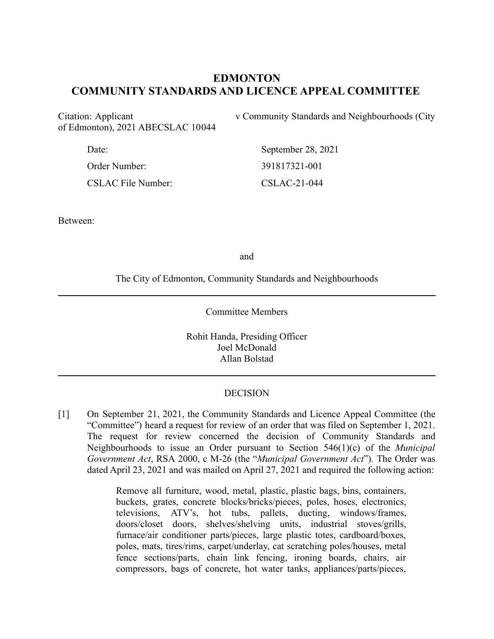# **EDMONTON COMMUNITY STANDARDS AND LICENCE APPEAL COMMITTEE**

of Edmonton), 2021 ABECSLAC 10044

Citation: Applicant v Community Standards and Neighbourhoods (City

| Date:                     | September 28, 2021 |
|---------------------------|--------------------|
| Order Number:             | 391817321-001      |
| <b>CSLAC File Number:</b> | $CSLAC-21-044$     |

Between:

and

The City of Edmonton, Community Standards and Neighbourhoods

Committee Members

Rohit Handa, Presiding Officer Joel McDonald Allan Bolstad

#### **DECISION**

[1] On September 21, 2021, the Community Standards and Licence Appeal Committee (the "Committee") heard a request for review of an order that was filed on September 1, 2021. The request for review concerned the decision of Community Standards and Neighbourhoods to issue an Order pursuant to Section 546(1)(c) of the *Municipal Government Act*, RSA 2000, c M-26 (the "*Municipal Government Act*")*.* The Order was dated April 23, 2021 and was mailed on April 27, 2021 and required the following action:

> Remove all furniture, wood, metal, plastic, plastic bags, bins, containers, buckets, grates, concrete blocks/bricks/pieces, poles, hoses, electronics, televisions, ATV's, hot tubs, pallets, ducting, windows/frames, doors/closet doors, shelves/shelving units, industrial stoves/grills, furnace/air conditioner parts/pieces, large plastic totes, cardboard/boxes, poles, mats, tires/rims, carpet/underlay, cat scratching poles/houses, metal fence sections/parts, chain link fencing, ironing boards, chairs, air compressors, bags of concrete, hot water tanks, appliances/parts/pieces,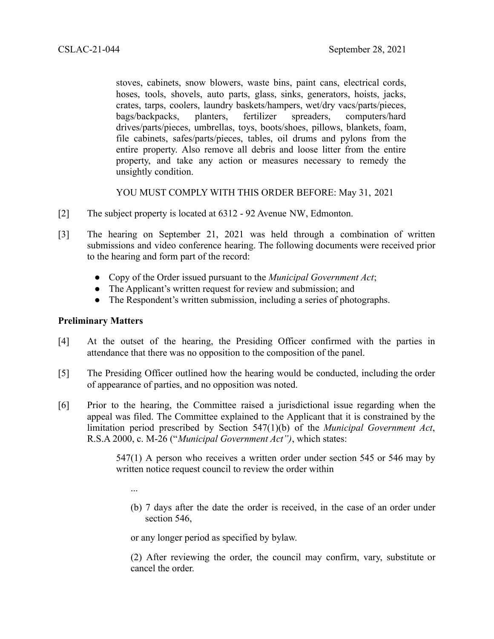stoves, cabinets, snow blowers, waste bins, paint cans, electrical cords, hoses, tools, shovels, auto parts, glass, sinks, generators, hoists, jacks, crates, tarps, coolers, laundry baskets/hampers, wet/dry vacs/parts/pieces, bags/backpacks, planters, fertilizer spreaders, computers/hard drives/parts/pieces, umbrellas, toys, boots/shoes, pillows, blankets, foam, file cabinets, safes/parts/pieces, tables, oil drums and pylons from the entire property. Also remove all debris and loose litter from the entire property, and take any action or measures necessary to remedy the unsightly condition.

YOU MUST COMPLY WITH THIS ORDER BEFORE: May 31, 2021

- [2] The subject property is located at 6312 92 Avenue NW, Edmonton.
- [3] The hearing on September 21, 2021 was held through a combination of written submissions and video conference hearing. The following documents were received prior to the hearing and form part of the record:
	- Copy of the Order issued pursuant to the *Municipal Government Act*;
	- The Applicant's written request for review and submission; and
	- The Respondent's written submission, including a series of photographs.

## **Preliminary Matters**

- [4] At the outset of the hearing, the Presiding Officer confirmed with the parties in attendance that there was no opposition to the composition of the panel.
- [5] The Presiding Officer outlined how the hearing would be conducted, including the order of appearance of parties, and no opposition was noted.
- [6] Prior to the hearing, the Committee raised a jurisdictional issue regarding when the appeal was filed. The Committee explained to the Applicant that it is constrained by the limitation period prescribed by Section 547(1)(b) of the *Municipal Government Act*, R.S.A 2000, c. M-26 ("*Municipal Government Act")*, which states:

547(1) A person who receives a written order under section 545 or 546 may by written notice request council to review the order within

- ...
- (b) 7 days after the date the order is received, in the case of an order under section 546,

or any longer period as specified by bylaw.

(2) After reviewing the order, the council may confirm, vary, substitute or cancel the order.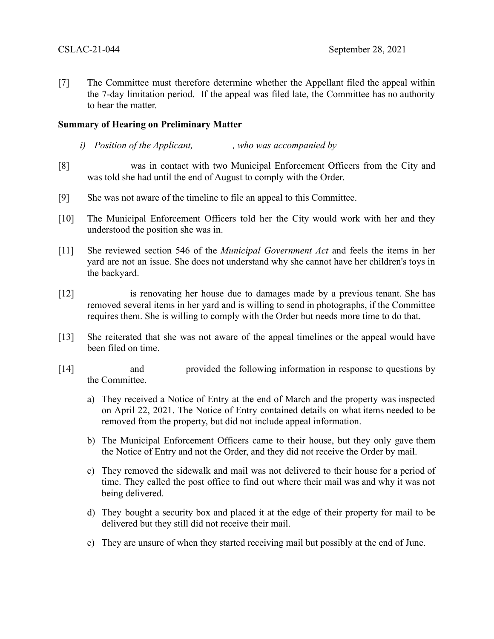[7] The Committee must therefore determine whether the Appellant filed the appeal within the 7-day limitation period. If the appeal was filed late, the Committee has no authority to hear the matter.

### **Summary of Hearing on Preliminary Matter**

- *i) Position of the Applicant, , who was accompanied by*
- [8] was in contact with two Municipal Enforcement Officers from the City and was told she had until the end of August to comply with the Order.
- [9] She was not aware of the timeline to file an appeal to this Committee.
- [10] The Municipal Enforcement Officers told her the City would work with her and they understood the position she was in.
- [11] She reviewed section 546 of the *Municipal Government Act* and feels the items in her yard are not an issue. She does not understand why she cannot have her children's toys in the backyard.
- [12] is renovating her house due to damages made by a previous tenant. She has removed several items in her yard and is willing to send in photographs, if the Committee requires them. She is willing to comply with the Order but needs more time to do that.
- [13] She reiterated that she was not aware of the appeal timelines or the appeal would have been filed on time.
- [14] and provided the following information in response to questions by the Committee.
	- a) They received a Notice of Entry at the end of March and the property was inspected on April 22, 2021. The Notice of Entry contained details on what items needed to be removed from the property, but did not include appeal information.
	- b) The Municipal Enforcement Officers came to their house, but they only gave them the Notice of Entry and not the Order, and they did not receive the Order by mail.
	- c) They removed the sidewalk and mail was not delivered to their house for a period of time. They called the post office to find out where their mail was and why it was not being delivered.
	- d) They bought a security box and placed it at the edge of their property for mail to be delivered but they still did not receive their mail.
	- e) They are unsure of when they started receiving mail but possibly at the end of June.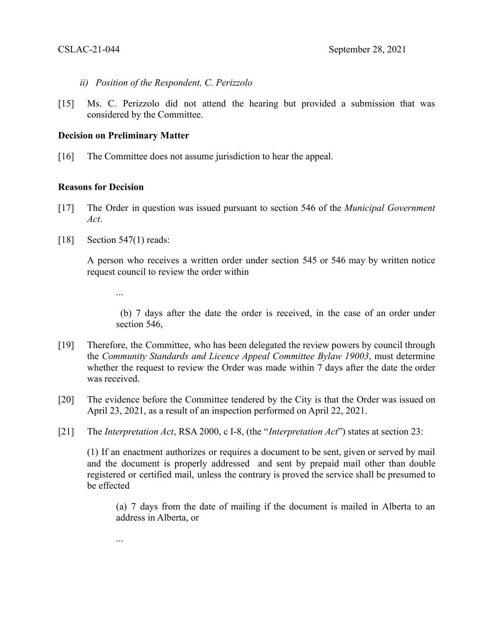- *ii) Position of the Respondent, C. Perizzolo*
- [15] Ms. C. Perizzolo did not attend the hearing but provided a submission that was considered by the Committee.

#### **Decision on Preliminary Matter**

[16] The Committee does not assume jurisdiction to hear the appeal.

### **Reasons for Decision**

- [17] The Order in question was issued pursuant to section 546 of the *Municipal Government Act*.
- [18] Section 547(1) reads:

...

...

A person who receives a written order under section 545 or 546 may by written notice request council to review the order within

(b) 7 days after the date the order is received, in the case of an order under section 546,

- [19] Therefore, the Committee, who has been delegated the review powers by council through the *Community Standards and Licence Appeal Committee Bylaw 19003*, must determine whether the request to review the Order was made within 7 days after the date the order was received.
- [20] The evidence before the Committee tendered by the City is that the Order was issued on April 23, 2021, as a result of an inspection performed on April 22, 2021.
- [21] The *Interpretation Act*, RSA 2000, c I-8, (the "*Interpretation Act*") states at section 23:

(1) If an enactment authorizes or requires a document to be sent, given or served by mail and the document is properly addressed and sent by prepaid mail other than double registered or certified mail, unless the contrary is proved the service shall be presumed to be effected

(a) 7 days from the date of mailing if the document is mailed in Alberta to an address in Alberta, or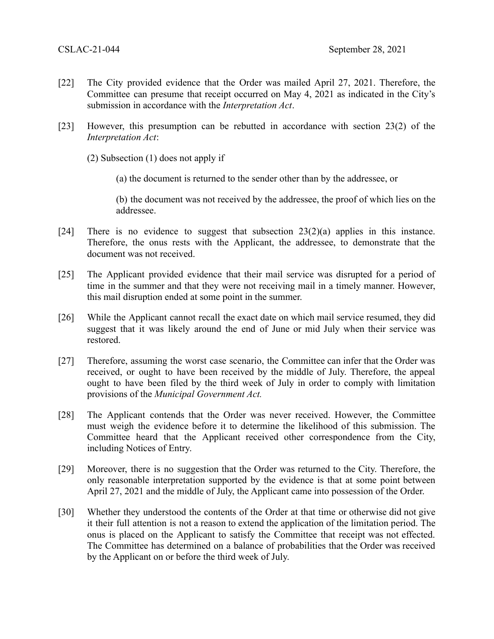- [22] The City provided evidence that the Order was mailed April 27, 2021. Therefore, the Committee can presume that receipt occurred on May 4, 2021 as indicated in the City's submission in accordance with the *Interpretation Act*.
- [23] However, this presumption can be rebutted in accordance with section 23(2) of the *Interpretation Act*:

(2) Subsection (1) does not apply if

(a) the document is returned to the sender other than by the addressee, or

(b) the document was not received by the addressee, the proof of which lies on the addressee.

- [24] There is no evidence to suggest that subsection 23(2)(a) applies in this instance. Therefore, the onus rests with the Applicant, the addressee, to demonstrate that the document was not received.
- [25] The Applicant provided evidence that their mail service was disrupted for a period of time in the summer and that they were not receiving mail in a timely manner. However, this mail disruption ended at some point in the summer.
- [26] While the Applicant cannot recall the exact date on which mail service resumed, they did suggest that it was likely around the end of June or mid July when their service was restored.
- [27] Therefore, assuming the worst case scenario, the Committee can infer that the Order was received, or ought to have been received by the middle of July. Therefore, the appeal ought to have been filed by the third week of July in order to comply with limitation provisions of the *Municipal Government Act.*
- [28] The Applicant contends that the Order was never received. However, the Committee must weigh the evidence before it to determine the likelihood of this submission. The Committee heard that the Applicant received other correspondence from the City, including Notices of Entry.
- [29] Moreover, there is no suggestion that the Order was returned to the City. Therefore, the only reasonable interpretation supported by the evidence is that at some point between April 27, 2021 and the middle of July, the Applicant came into possession of the Order.
- [30] Whether they understood the contents of the Order at that time or otherwise did not give it their full attention is not a reason to extend the application of the limitation period. The onus is placed on the Applicant to satisfy the Committee that receipt was not effected. The Committee has determined on a balance of probabilities that the Order was received by the Applicant on or before the third week of July.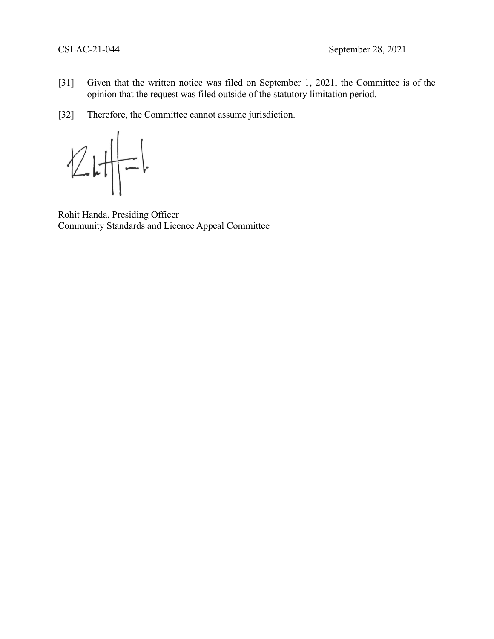- [31] Given that the written notice was filed on September 1, 2021, the Committee is of the opinion that the request was filed outside of the statutory limitation period.
- [32] Therefore, the Committee cannot assume jurisdiction.

 $\sqrt{2}$  $\begin{array}{c} \begin{array}{c} \end{array} \end{array}$  $=$ 

Rohit Handa, Presiding Officer Community Standards and Licence Appeal Committee